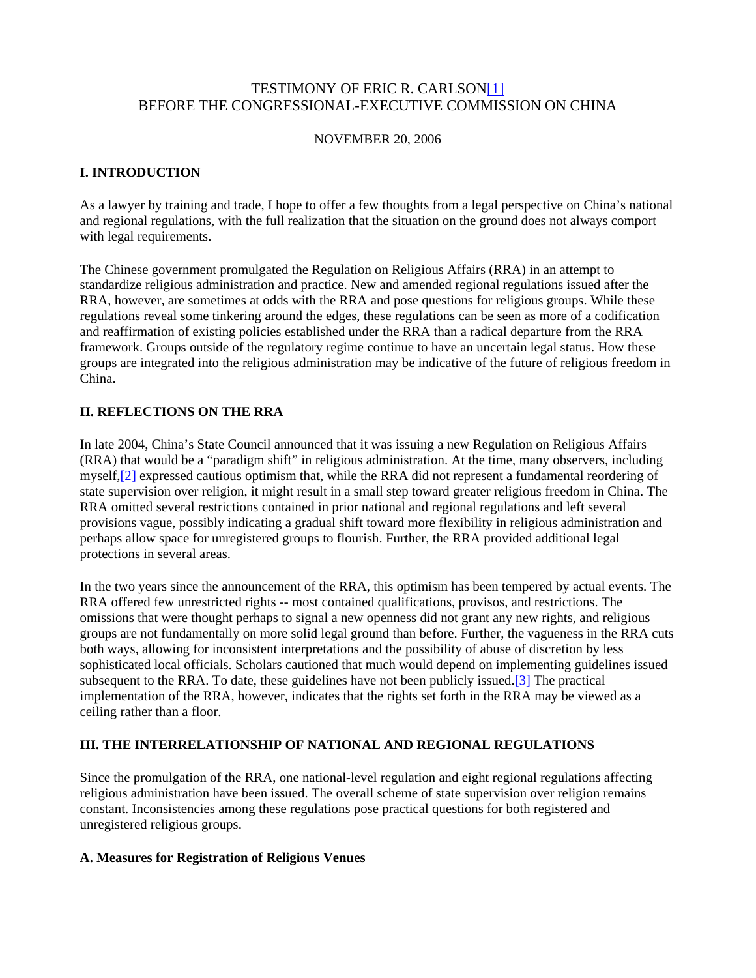# TESTIMONY OF ERIC R. CARLSON[1] BEFORE THE CONGRESSIONAL-EXECUTIVE COMMISSION ON CHINA

#### NOVEMBER 20, 2006

## **I. INTRODUCTION**

As a lawyer by training and trade, I hope to offer a few thoughts from a legal perspective on China's national and regional regulations, with the full realization that the situation on the ground does not always comport with legal requirements.

The Chinese government promulgated the Regulation on Religious Affairs (RRA) in an attempt to standardize religious administration and practice. New and amended regional regulations issued after the RRA, however, are sometimes at odds with the RRA and pose questions for religious groups. While these regulations reveal some tinkering around the edges, these regulations can be seen as more of a codification and reaffirmation of existing policies established under the RRA than a radical departure from the RRA framework. Groups outside of the regulatory regime continue to have an uncertain legal status. How these groups are integrated into the religious administration may be indicative of the future of religious freedom in China.

## **II. REFLECTIONS ON THE RRA**

In late 2004, China's State Council announced that it was issuing a new Regulation on Religious Affairs (RRA) that would be a "paradigm shift" in religious administration. At the time, many observers, including myself,[2] expressed cautious optimism that, while the RRA did not represent a fundamental reordering of state supervision over religion, it might result in a small step toward greater religious freedom in China. The RRA omitted several restrictions contained in prior national and regional regulations and left several provisions vague, possibly indicating a gradual shift toward more flexibility in religious administration and perhaps allow space for unregistered groups to flourish. Further, the RRA provided additional legal protections in several areas.

In the two years since the announcement of the RRA, this optimism has been tempered by actual events. The RRA offered few unrestricted rights -- most contained qualifications, provisos, and restrictions. The omissions that were thought perhaps to signal a new openness did not grant any new rights, and religious groups are not fundamentally on more solid legal ground than before. Further, the vagueness in the RRA cuts both ways, allowing for inconsistent interpretations and the possibility of abuse of discretion by less sophisticated local officials. Scholars cautioned that much would depend on implementing guidelines issued subsequent to the RRA. To date, these guidelines have not been publicly issued.[3] The practical implementation of the RRA, however, indicates that the rights set forth in the RRA may be viewed as a ceiling rather than a floor.

## **III. THE INTERRELATIONSHIP OF NATIONAL AND REGIONAL REGULATIONS**

Since the promulgation of the RRA, one national-level regulation and eight regional regulations affecting religious administration have been issued. The overall scheme of state supervision over religion remains constant. Inconsistencies among these regulations pose practical questions for both registered and unregistered religious groups.

#### **A. Measures for Registration of Religious Venues**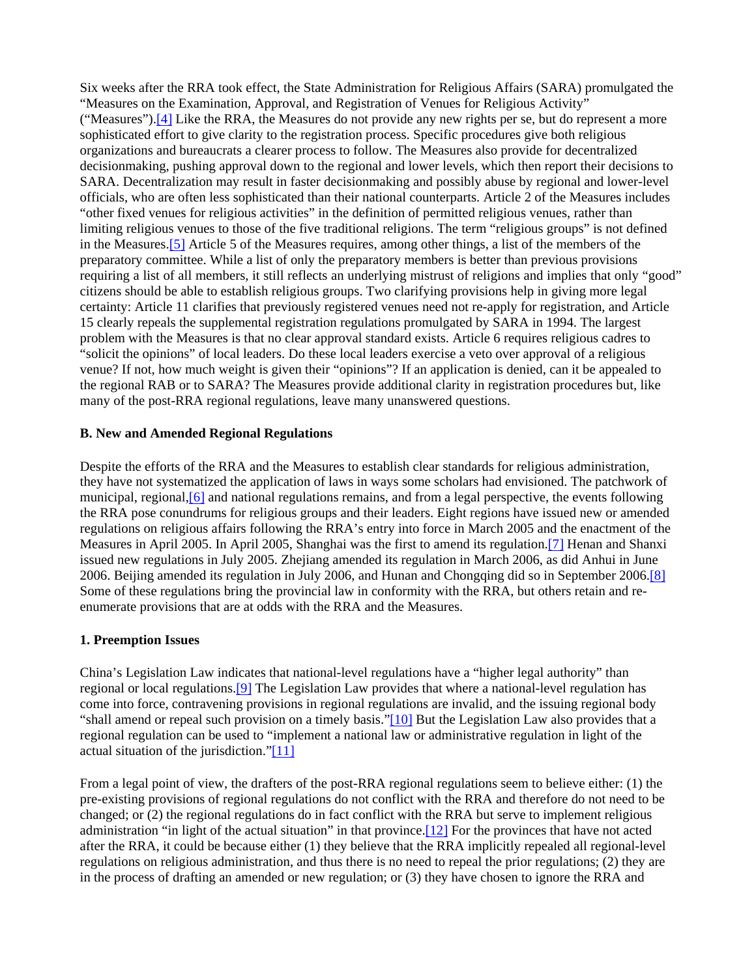Six weeks after the RRA took effect, the State Administration for Religious Affairs (SARA) promulgated the "Measures on the Examination, Approval, and Registration of Venues for Religious Activity" ("Measures").[4] Like the RRA, the Measures do not provide any new rights per se, but do represent a more sophisticated effort to give clarity to the registration process. Specific procedures give both religious organizations and bureaucrats a clearer process to follow. The Measures also provide for decentralized decisionmaking, pushing approval down to the regional and lower levels, which then report their decisions to SARA. Decentralization may result in faster decisionmaking and possibly abuse by regional and lower-level officials, who are often less sophisticated than their national counterparts. Article 2 of the Measures includes "other fixed venues for religious activities" in the definition of permitted religious venues, rather than limiting religious venues to those of the five traditional religions. The term "religious groups" is not defined in the Measures.[5] Article 5 of the Measures requires, among other things, a list of the members of the preparatory committee. While a list of only the preparatory members is better than previous provisions requiring a list of all members, it still reflects an underlying mistrust of religions and implies that only "good" citizens should be able to establish religious groups. Two clarifying provisions help in giving more legal certainty: Article 11 clarifies that previously registered venues need not re-apply for registration, and Article 15 clearly repeals the supplemental registration regulations promulgated by SARA in 1994. The largest problem with the Measures is that no clear approval standard exists. Article 6 requires religious cadres to "solicit the opinions" of local leaders. Do these local leaders exercise a veto over approval of a religious venue? If not, how much weight is given their "opinions"? If an application is denied, can it be appealed to the regional RAB or to SARA? The Measures provide additional clarity in registration procedures but, like many of the post-RRA regional regulations, leave many unanswered questions.

#### **B. New and Amended Regional Regulations**

Despite the efforts of the RRA and the Measures to establish clear standards for religious administration, they have not systematized the application of laws in ways some scholars had envisioned. The patchwork of municipal, regional,[6] and national regulations remains, and from a legal perspective, the events following the RRA pose conundrums for religious groups and their leaders. Eight regions have issued new or amended regulations on religious affairs following the RRA's entry into force in March 2005 and the enactment of the Measures in April 2005. In April 2005, Shanghai was the first to amend its regulation.[7] Henan and Shanxi issued new regulations in July 2005. Zhejiang amended its regulation in March 2006, as did Anhui in June 2006. Beijing amended its regulation in July 2006, and Hunan and Chongqing did so in September 2006.[8] Some of these regulations bring the provincial law in conformity with the RRA, but others retain and reenumerate provisions that are at odds with the RRA and the Measures.

#### **1. Preemption Issues**

China's Legislation Law indicates that national-level regulations have a "higher legal authority" than regional or local regulations.[9] The Legislation Law provides that where a national-level regulation has come into force, contravening provisions in regional regulations are invalid, and the issuing regional body "shall amend or repeal such provision on a timely basis."[10] But the Legislation Law also provides that a regional regulation can be used to "implement a national law or administrative regulation in light of the actual situation of the jurisdiction."[11]

From a legal point of view, the drafters of the post-RRA regional regulations seem to believe either: (1) the pre-existing provisions of regional regulations do not conflict with the RRA and therefore do not need to be changed; or (2) the regional regulations do in fact conflict with the RRA but serve to implement religious administration "in light of the actual situation" in that province.[12] For the provinces that have not acted after the RRA, it could be because either (1) they believe that the RRA implicitly repealed all regional-level regulations on religious administration, and thus there is no need to repeal the prior regulations; (2) they are in the process of drafting an amended or new regulation; or (3) they have chosen to ignore the RRA and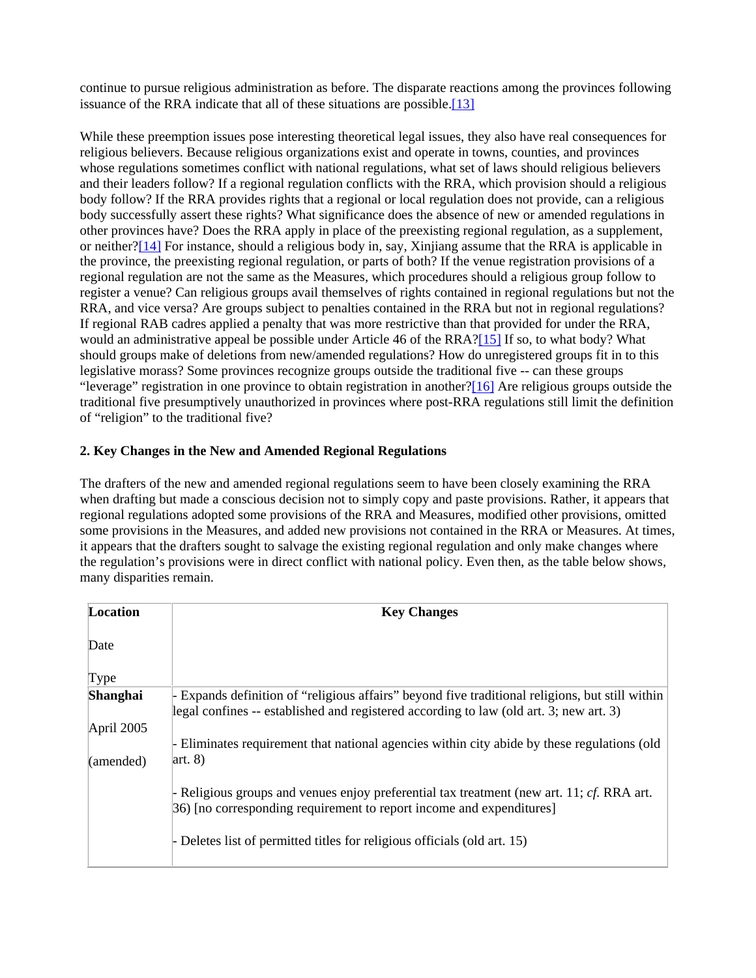continue to pursue religious administration as before. The disparate reactions among the provinces following issuance of the RRA indicate that all of these situations are possible.<sup>[13]</sup>

While these preemption issues pose interesting theoretical legal issues, they also have real consequences for religious believers. Because religious organizations exist and operate in towns, counties, and provinces whose regulations sometimes conflict with national regulations, what set of laws should religious believers and their leaders follow? If a regional regulation conflicts with the RRA, which provision should a religious body follow? If the RRA provides rights that a regional or local regulation does not provide, can a religious body successfully assert these rights? What significance does the absence of new or amended regulations in other provinces have? Does the RRA apply in place of the preexisting regional regulation, as a supplement, or neither?[14] For instance, should a religious body in, say, Xinjiang assume that the RRA is applicable in the province, the preexisting regional regulation, or parts of both? If the venue registration provisions of a regional regulation are not the same as the Measures, which procedures should a religious group follow to register a venue? Can religious groups avail themselves of rights contained in regional regulations but not the RRA, and vice versa? Are groups subject to penalties contained in the RRA but not in regional regulations? If regional RAB cadres applied a penalty that was more restrictive than that provided for under the RRA, would an administrative appeal be possible under Article 46 of the RRA?[15] If so, to what body? What should groups make of deletions from new/amended regulations? How do unregistered groups fit in to this legislative morass? Some provinces recognize groups outside the traditional five -- can these groups "leverage" registration in one province to obtain registration in another?[16] Are religious groups outside the traditional five presumptively unauthorized in provinces where post-RRA regulations still limit the definition of "religion" to the traditional five?

## **2. Key Changes in the New and Amended Regional Regulations**

The drafters of the new and amended regional regulations seem to have been closely examining the RRA when drafting but made a conscious decision not to simply copy and paste provisions. Rather, it appears that regional regulations adopted some provisions of the RRA and Measures, modified other provisions, omitted some provisions in the Measures, and added new provisions not contained in the RRA or Measures. At times, it appears that the drafters sought to salvage the existing regional regulation and only make changes where the regulation's provisions were in direct conflict with national policy. Even then, as the table below shows, many disparities remain.

| Location        | <b>Key Changes</b>                                                                                                                                                                        |
|-----------------|-------------------------------------------------------------------------------------------------------------------------------------------------------------------------------------------|
| Date            |                                                                                                                                                                                           |
| Type            |                                                                                                                                                                                           |
| <b>Shanghai</b> | - Expands definition of "religious affairs" beyond five traditional religions, but still within<br>legal confines -- established and registered according to law (old art. 3; new art. 3) |
| April 2005      |                                                                                                                                                                                           |
|                 | - Eliminates requirement that national agencies within city abide by these regulations (old                                                                                               |
| (amended)       | $\arct. 8$                                                                                                                                                                                |
|                 | - Religious groups and venues enjoy preferential tax treatment (new art. 11; $cf.$ RRA art.<br>36) [no corresponding requirement to report income and expenditures]                       |
|                 | Deletes list of permitted titles for religious officials (old art. 15)                                                                                                                    |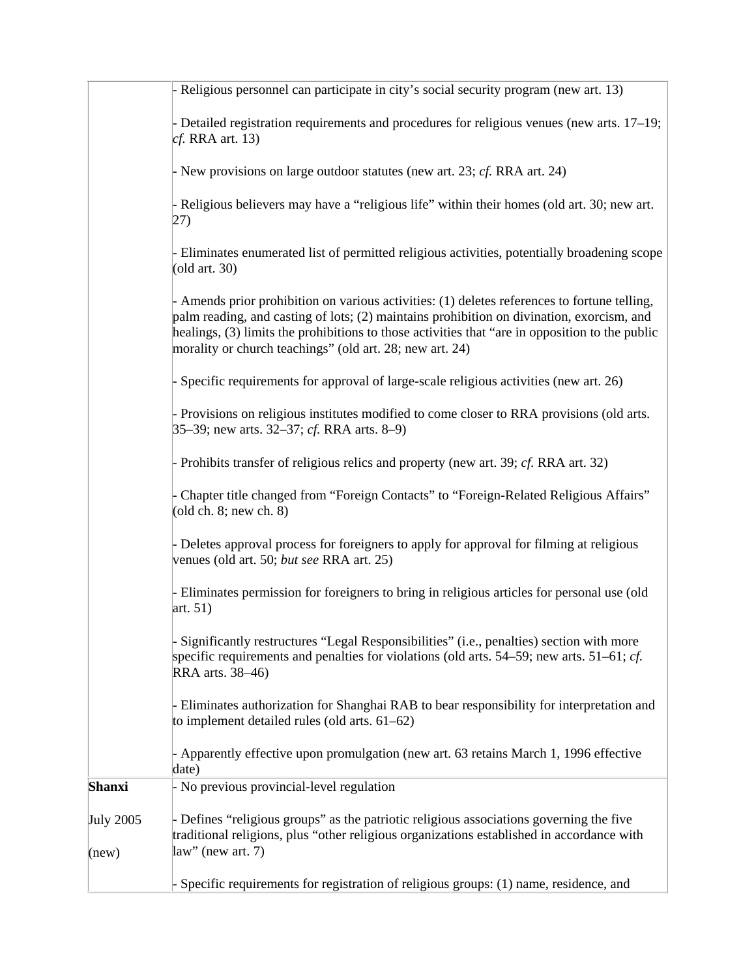|                  | - Religious personnel can participate in city's social security program (new art. 13)                                                                                                                                                                                                                                                                    |
|------------------|----------------------------------------------------------------------------------------------------------------------------------------------------------------------------------------------------------------------------------------------------------------------------------------------------------------------------------------------------------|
|                  | - Detailed registration requirements and procedures for religious venues (new arts. 17–19;<br>$cf.$ RRA art. 13)                                                                                                                                                                                                                                         |
|                  | - New provisions on large outdoor statutes (new art. 23; cf. RRA art. 24)                                                                                                                                                                                                                                                                                |
|                  | - Religious believers may have a "religious life" within their homes (old art. 30; new art.<br>27)                                                                                                                                                                                                                                                       |
|                  | - Eliminates enumerated list of permitted religious activities, potentially broadening scope<br>$\left($ old art. 30 $\right)$                                                                                                                                                                                                                           |
|                  | - Amends prior prohibition on various activities: (1) deletes references to fortune telling,<br>palm reading, and casting of lots; (2) maintains prohibition on divination, exorcism, and<br>healings, (3) limits the prohibitions to those activities that "are in opposition to the public<br>morality or church teachings" (old art. 28; new art. 24) |
|                  | Specific requirements for approval of large-scale religious activities (new art. 26)                                                                                                                                                                                                                                                                     |
|                  | - Provisions on religious institutes modified to come closer to RRA provisions (old arts.<br>35–39; new arts. 32–37; cf. RRA arts. 8–9)                                                                                                                                                                                                                  |
|                  | - Prohibits transfer of religious relics and property (new art. 39; cf. RRA art. 32)                                                                                                                                                                                                                                                                     |
|                  | Chapter title changed from "Foreign Contacts" to "Foreign-Related Religious Affairs"<br>$\left($ old ch. 8; new ch. 8)                                                                                                                                                                                                                                   |
|                  | - Deletes approval process for foreigners to apply for approval for filming at religious<br>venues (old art. 50; but see RRA art. 25)                                                                                                                                                                                                                    |
|                  | - Eliminates permission for foreigners to bring in religious articles for personal use (old<br>art. $51)$                                                                                                                                                                                                                                                |
|                  | Significantly restructures "Legal Responsibilities" (i.e., penalties) section with more<br>specific requirements and penalties for violations (old arts. $54-59$ ; new arts. $51-61$ ; <i>cf.</i><br><b>RRA</b> arts. 38-46)                                                                                                                             |
|                  | - Eliminates authorization for Shanghai RAB to bear responsibility for interpretation and<br>to implement detailed rules (old arts. $61-62$ )                                                                                                                                                                                                            |
|                  | - Apparently effective upon promulgation (new art. 63 retains March 1, 1996 effective<br>date)                                                                                                                                                                                                                                                           |
| <b>Shanxi</b>    | - No previous provincial-level regulation                                                                                                                                                                                                                                                                                                                |
| <b>July 2005</b> | - Defines "religious groups" as the patriotic religious associations governing the five<br>traditional religions, plus "other religious organizations established in accordance with<br>$law''$ (new art. 7)                                                                                                                                             |
| (new)            |                                                                                                                                                                                                                                                                                                                                                          |
|                  | Specific requirements for registration of religious groups: (1) name, residence, and                                                                                                                                                                                                                                                                     |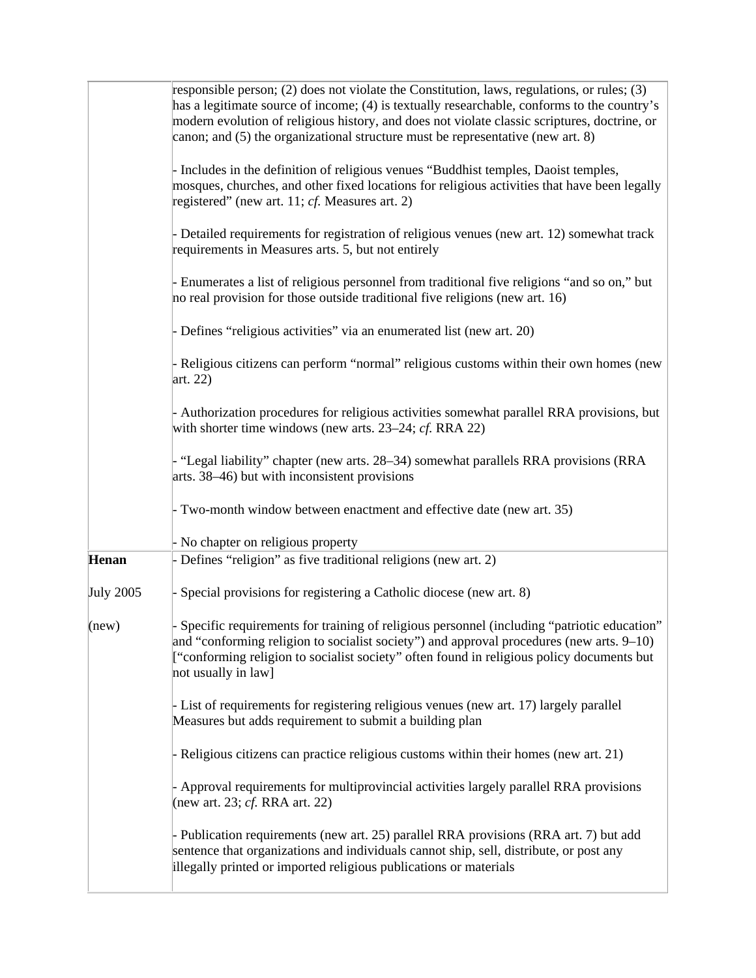|                  | responsible person; (2) does not violate the Constitution, laws, regulations, or rules; (3)<br>has a legitimate source of income; (4) is textually researchable, conforms to the country's<br>modern evolution of religious history, and does not violate classic scriptures, doctrine, or<br>canon; and $(5)$ the organizational structure must be representative (new art. 8) |
|------------------|---------------------------------------------------------------------------------------------------------------------------------------------------------------------------------------------------------------------------------------------------------------------------------------------------------------------------------------------------------------------------------|
|                  | - Includes in the definition of religious venues "Buddhist temples, Daoist temples,<br>mosques, churches, and other fixed locations for religious activities that have been legally<br>registered" (new art. 11; $cf$ . Measures art. 2)                                                                                                                                        |
|                  | - Detailed requirements for registration of religious venues (new art. 12) somewhat track<br>requirements in Measures arts. 5, but not entirely                                                                                                                                                                                                                                 |
|                  | - Enumerates a list of religious personnel from traditional five religions "and so on," but<br>no real provision for those outside traditional five religions (new art. 16)                                                                                                                                                                                                     |
|                  | - Defines "religious activities" via an enumerated list (new art. 20)                                                                                                                                                                                                                                                                                                           |
|                  | - Religious citizens can perform "normal" religious customs within their own homes (new<br>art. $22)$                                                                                                                                                                                                                                                                           |
|                  | - Authorization procedures for religious activities somewhat parallel RRA provisions, but<br>with shorter time windows (new arts. 23–24; $cf.$ RRA 22)                                                                                                                                                                                                                          |
|                  | - "Legal liability" chapter (new arts. 28–34) somewhat parallels RRA provisions (RRA<br>arts. 38–46) but with inconsistent provisions                                                                                                                                                                                                                                           |
|                  | - Two-month window between enactment and effective date (new art. 35)                                                                                                                                                                                                                                                                                                           |
|                  | - No chapter on religious property                                                                                                                                                                                                                                                                                                                                              |
| Henan            | - Defines "religion" as five traditional religions (new art. 2)                                                                                                                                                                                                                                                                                                                 |
| <b>July 2005</b> | Special provisions for registering a Catholic diocese (new art. 8)                                                                                                                                                                                                                                                                                                              |
| (new)            | Specific requirements for training of religious personnel (including "patriotic education"<br>and "conforming religion to socialist society") and approval procedures (new arts. $9-10$ )<br>["conforming religion to socialist society" often found in religious policy documents but<br>not usually in law]                                                                   |
|                  | - List of requirements for registering religious venues (new art. 17) largely parallel<br>Measures but adds requirement to submit a building plan                                                                                                                                                                                                                               |
|                  | - Religious citizens can practice religious customs within their homes (new art. 21)                                                                                                                                                                                                                                                                                            |
|                  | - Approval requirements for multiprovincial activities largely parallel RRA provisions<br>(new art. 23; <i>cf.</i> RRA art. 22)                                                                                                                                                                                                                                                 |
|                  | - Publication requirements (new art. 25) parallel RRA provisions (RRA art. 7) but add<br>sentence that organizations and individuals cannot ship, sell, distribute, or post any<br>illegally printed or imported religious publications or materials                                                                                                                            |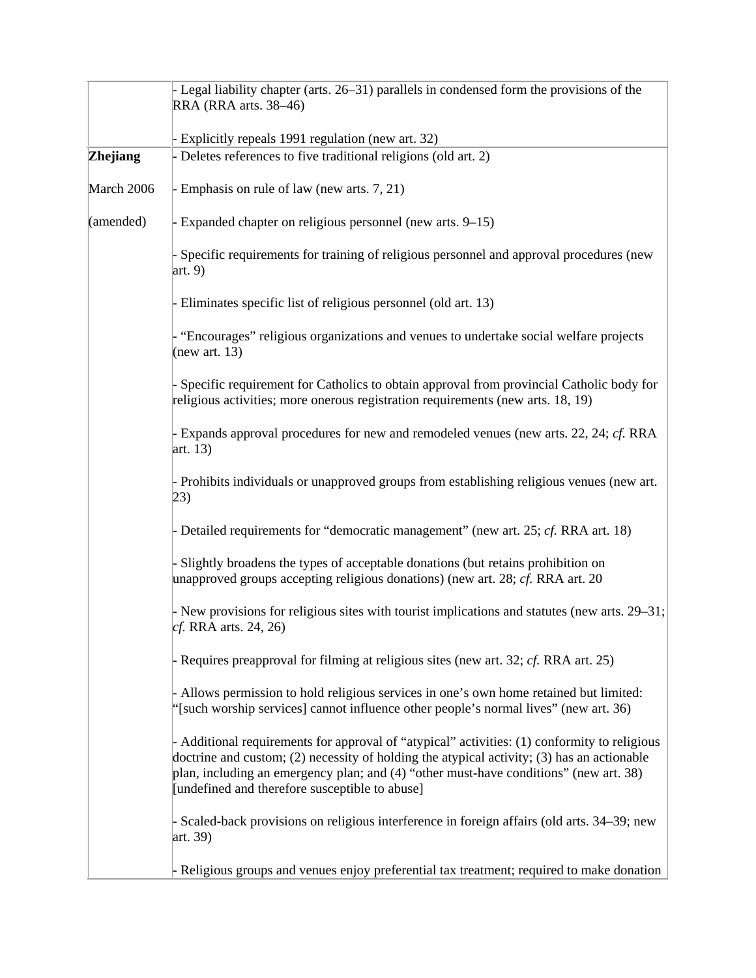|            | - Legal liability chapter (arts. 26–31) parallels in condensed form the provisions of the<br>RRA (RRA arts. 38-46)                                                                                                                                                                                                                    |
|------------|---------------------------------------------------------------------------------------------------------------------------------------------------------------------------------------------------------------------------------------------------------------------------------------------------------------------------------------|
|            | - Explicitly repeals 1991 regulation (new art. 32)                                                                                                                                                                                                                                                                                    |
| Zhejiang   | - Deletes references to five traditional religions (old art. 2)                                                                                                                                                                                                                                                                       |
| March 2006 | - Emphasis on rule of law (new arts. 7, 21)                                                                                                                                                                                                                                                                                           |
| (amended)  | - Expanded chapter on religious personnel (new arts. 9–15)                                                                                                                                                                                                                                                                            |
|            | Specific requirements for training of religious personnel and approval procedures (new<br>$\arct{b}$ . 9)                                                                                                                                                                                                                             |
|            | - Eliminates specific list of religious personnel (old art. 13)                                                                                                                                                                                                                                                                       |
|            | "Encourages" religious organizations and venues to undertake social welfare projects<br>(new art. $13$ )                                                                                                                                                                                                                              |
|            | Specific requirement for Catholics to obtain approval from provincial Catholic body for<br>religious activities; more onerous registration requirements (new arts. 18, 19)                                                                                                                                                            |
|            | - Expands approval procedures for new and remodeled venues (new arts. 22, 24; cf. RRA<br>art. $13)$                                                                                                                                                                                                                                   |
|            | - Prohibits individuals or unapproved groups from establishing religious venues (new art.<br> 23)                                                                                                                                                                                                                                     |
|            | - Detailed requirements for "democratic management" (new art. 25; $cf.$ RRA art. 18)                                                                                                                                                                                                                                                  |
|            | Slightly broadens the types of acceptable donations (but retains prohibition on<br>unapproved groups accepting religious donations) (new art. 28; $cf$ . RRA art. 20                                                                                                                                                                  |
|            | - New provisions for religious sites with tourist implications and statutes (new arts. 29–31;<br>cf. RRA arts. 24, 26)                                                                                                                                                                                                                |
|            | - Requires preapproval for filming at religious sites (new art. 32; cf. RRA art. 25)                                                                                                                                                                                                                                                  |
|            | - Allows permission to hold religious services in one's own home retained but limited:<br>"[such worship services] cannot influence other people's normal lives" (new art. 36)                                                                                                                                                        |
|            | - Additional requirements for approval of "atypical" activities: (1) conformity to religious<br>doctrine and custom; (2) necessity of holding the atypical activity; (3) has an actionable<br>plan, including an emergency plan; and (4) "other must-have conditions" (new art. 38)<br>[undefined and therefore susceptible to abuse] |
|            | - Scaled-back provisions on religious interference in foreign affairs (old arts. 34–39; new<br>art. 39)                                                                                                                                                                                                                               |
|            | - Religious groups and venues enjoy preferential tax treatment; required to make donation                                                                                                                                                                                                                                             |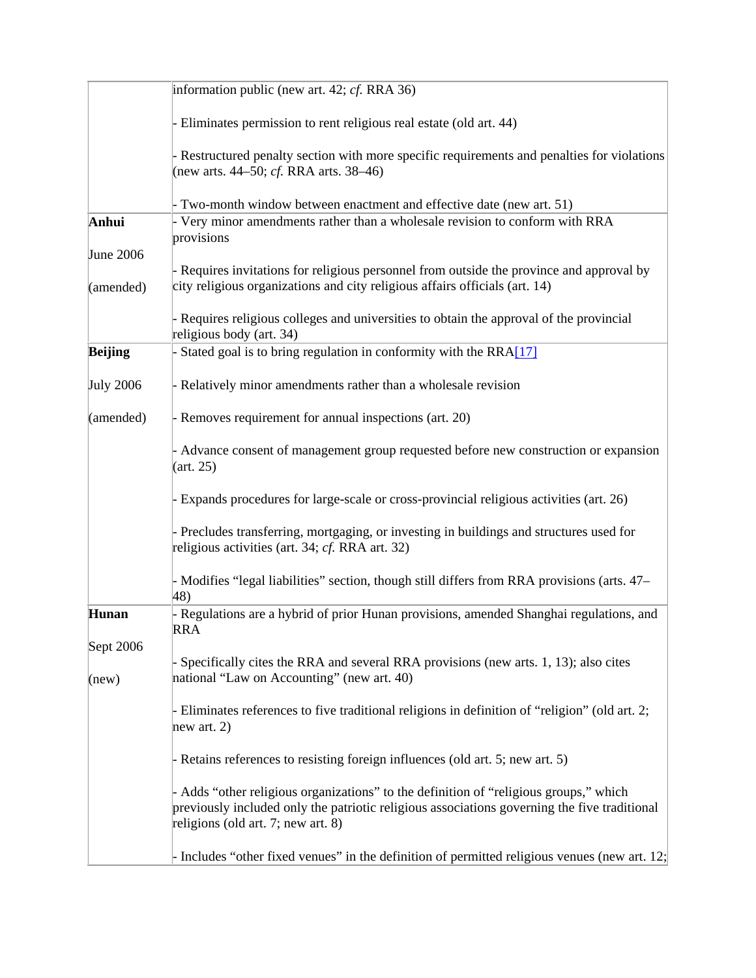|                  | information public (new art. 42; $cf.$ RRA 36)                                                                                                                                                                              |
|------------------|-----------------------------------------------------------------------------------------------------------------------------------------------------------------------------------------------------------------------------|
|                  | Eliminates permission to rent religious real estate (old art. 44)                                                                                                                                                           |
|                  | - Restructured penalty section with more specific requirements and penalties for violations<br>(new arts. $44-50$ ; <i>cf.</i> RRA arts. $38-46$ )                                                                          |
|                  | Two-month window between enactment and effective date (new art. 51)                                                                                                                                                         |
| Anhui            | Very minor amendments rather than a wholesale revision to conform with RRA<br>provisions                                                                                                                                    |
| <b>June 2006</b> |                                                                                                                                                                                                                             |
| (amended)        | - Requires invitations for religious personnel from outside the province and approval by<br>city religious organizations and city religious affairs officials (art. 14)                                                     |
|                  | - Requires religious colleges and universities to obtain the approval of the provincial<br>religious body (art. 34)                                                                                                         |
| <b>Beijing</b>   | Stated goal is to bring regulation in conformity with the RRA[17]                                                                                                                                                           |
| <b>July 2006</b> | - Relatively minor amendments rather than a wholesale revision                                                                                                                                                              |
| (amended)        | - Removes requirement for annual inspections (art. 20)                                                                                                                                                                      |
|                  | Advance consent of management group requested before new construction or expansion<br>(art. 25)                                                                                                                             |
|                  | - Expands procedures for large-scale or cross-provincial religious activities (art. 26)                                                                                                                                     |
|                  | Precludes transferring, mortgaging, or investing in buildings and structures used for<br>religious activities (art. 34; cf. RRA art. 32)                                                                                    |
|                  | - Modifies "legal liabilities" section, though still differs from RRA provisions (arts. 47–<br>48)                                                                                                                          |
| Hunan            | Regulations are a hybrid of prior Hunan provisions, amended Shanghai regulations, and<br><b>RRA</b>                                                                                                                         |
| Sept 2006        |                                                                                                                                                                                                                             |
| (new)            | - Specifically cites the RRA and several RRA provisions (new arts. 1, 13); also cites<br>national "Law on Accounting" (new art. 40)                                                                                         |
|                  | - Eliminates references to five traditional religions in definition of "religion" (old art. 2;<br>new art. $2)$                                                                                                             |
|                  | - Retains references to resisting foreign influences (old art. 5; new art. 5)                                                                                                                                               |
|                  | - Adds "other religious organizations" to the definition of "religious groups," which<br>previously included only the patriotic religious associations governing the five traditional<br>religions (old art. 7; new art. 8) |
|                  | - Includes "other fixed venues" in the definition of permitted religious venues (new art. 12;                                                                                                                               |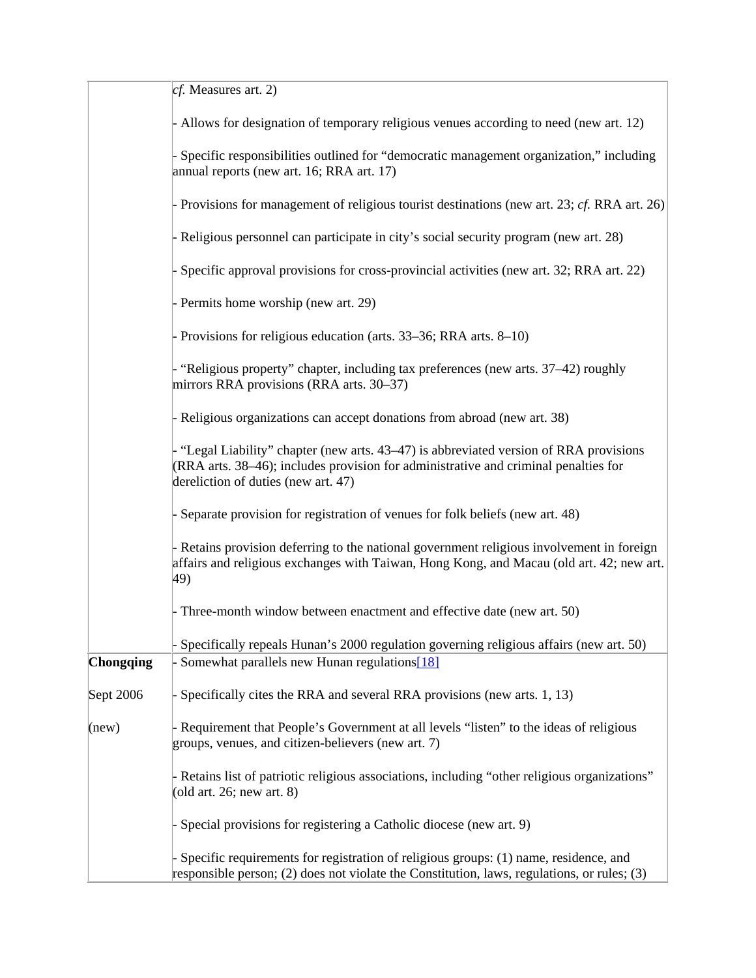|                  | $cf.$ Measures art. 2)                                                                                                                                                                                             |
|------------------|--------------------------------------------------------------------------------------------------------------------------------------------------------------------------------------------------------------------|
|                  | Allows for designation of temporary religious venues according to need (new art. 12)                                                                                                                               |
|                  | Specific responsibilities outlined for "democratic management organization," including<br>annual reports (new art. 16; RRA art. 17)                                                                                |
|                  | - Provisions for management of religious tourist destinations (new art. 23; cf. RRA art. 26)                                                                                                                       |
|                  | - Religious personnel can participate in city's social security program (new art. 28)                                                                                                                              |
|                  | Specific approval provisions for cross-provincial activities (new art. 32; RRA art. 22)                                                                                                                            |
|                  | - Permits home worship (new art. 29)                                                                                                                                                                               |
|                  | - Provisions for religious education (arts. 33–36; RRA arts. 8–10)                                                                                                                                                 |
|                  | "Religious property" chapter, including tax preferences (new arts. 37–42) roughly<br>mirrors RRA provisions (RRA arts. 30–37)                                                                                      |
|                  | - Religious organizations can accept donations from abroad (new art. 38)                                                                                                                                           |
|                  | "Legal Liability" chapter (new arts. 43–47) is abbreviated version of RRA provisions<br>(RRA arts. 38–46); includes provision for administrative and criminal penalties for<br>dereliction of duties (new art. 47) |
|                  | Separate provision for registration of venues for folk beliefs (new art. 48)                                                                                                                                       |
|                  | - Retains provision deferring to the national government religious involvement in foreign<br>affairs and religious exchanges with Taiwan, Hong Kong, and Macau (old art. 42; new art.<br>49)                       |
|                  | Three-month window between enactment and effective date (new art. 50)                                                                                                                                              |
|                  | Specifically repeals Hunan's 2000 regulation governing religious affairs (new art. 50)                                                                                                                             |
| <b>Chongqing</b> | Somewhat parallels new Hunan regulations[18]                                                                                                                                                                       |
| Sept 2006        | Specifically cites the RRA and several RRA provisions (new arts. 1, 13)                                                                                                                                            |
| (new)            | - Requirement that People's Government at all levels "listen" to the ideas of religious<br>groups, venues, and citizen-believers (new art. 7)                                                                      |
|                  | Retains list of patriotic religious associations, including "other religious organizations"<br>(old art. 26; new art. $8$ )                                                                                        |
|                  | Special provisions for registering a Catholic diocese (new art. 9)                                                                                                                                                 |
|                  | Specific requirements for registration of religious groups: (1) name, residence, and<br>responsible person; $(2)$ does not violate the Constitution, laws, regulations, or rules; $(3)$                            |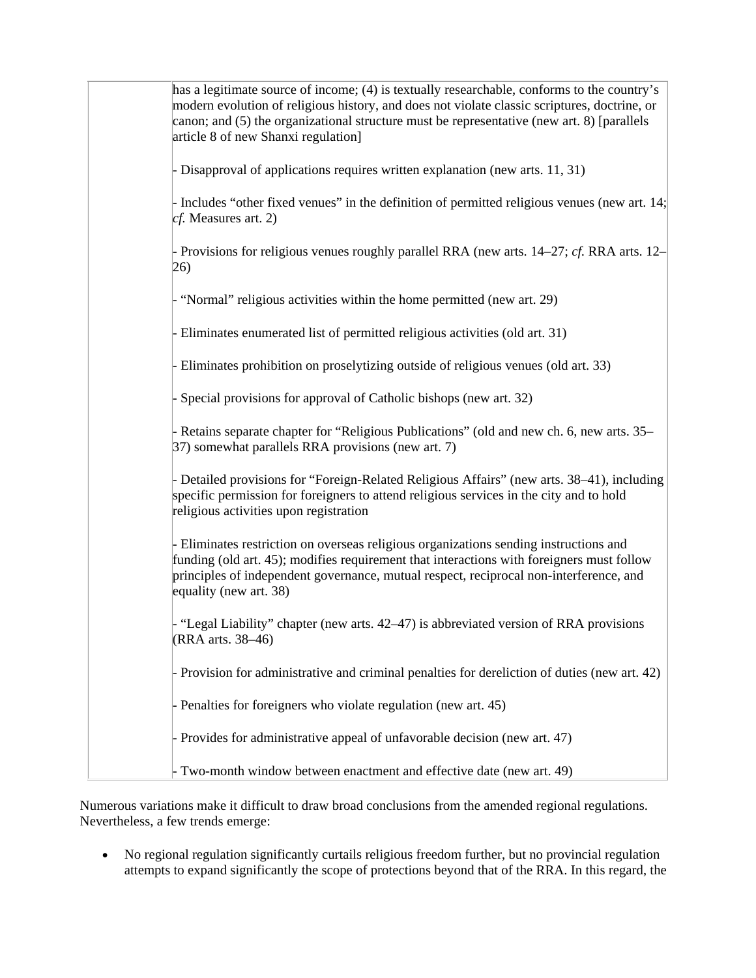| has a legitimate source of income; (4) is textually researchable, conforms to the country's<br>modern evolution of religious history, and does not violate classic scriptures, doctrine, or<br>canon; and (5) the organizational structure must be representative (new art. 8) [parallels<br>article 8 of new Shanxi regulation] |
|----------------------------------------------------------------------------------------------------------------------------------------------------------------------------------------------------------------------------------------------------------------------------------------------------------------------------------|
| - Disapproval of applications requires written explanation (new arts. 11, 31)                                                                                                                                                                                                                                                    |
| - Includes "other fixed venues" in the definition of permitted religious venues (new art. $14$ ;<br>$cf.$ Measures art. 2)                                                                                                                                                                                                       |
| - Provisions for religious venues roughly parallel RRA (new arts. 14–27; cf. RRA arts. 12–<br>26)                                                                                                                                                                                                                                |
| - "Normal" religious activities within the home permitted (new art. 29)                                                                                                                                                                                                                                                          |
| - Eliminates enumerated list of permitted religious activities (old art. 31)                                                                                                                                                                                                                                                     |
| - Eliminates prohibition on proselytizing outside of religious venues (old art. 33)                                                                                                                                                                                                                                              |
| Special provisions for approval of Catholic bishops (new art. 32)                                                                                                                                                                                                                                                                |
| - Retains separate chapter for "Religious Publications" (old and new ch. 6, new arts. 35–<br>37) somewhat parallels RRA provisions (new art. 7)                                                                                                                                                                                  |
| - Detailed provisions for "Foreign-Related Religious Affairs" (new arts. 38–41), including<br>specific permission for foreigners to attend religious services in the city and to hold<br>religious activities upon registration                                                                                                  |
| - Eliminates restriction on overseas religious organizations sending instructions and<br>funding (old art. 45); modifies requirement that interactions with foreigners must follow<br>principles of independent governance, mutual respect, reciprocal non-interference, and<br>equality (new art. 38)                           |
| - "Legal Liability" chapter (new arts. 42–47) is abbreviated version of RRA provisions<br>(RRA arts. 38-46)                                                                                                                                                                                                                      |
| - Provision for administrative and criminal penalties for dereliction of duties (new art. 42)                                                                                                                                                                                                                                    |
| - Penalties for foreigners who violate regulation (new art. 45)                                                                                                                                                                                                                                                                  |
| - Provides for administrative appeal of unfavorable decision (new art. 47)                                                                                                                                                                                                                                                       |
| Two-month window between enactment and effective date (new art. 49)                                                                                                                                                                                                                                                              |

Numerous variations make it difficult to draw broad conclusions from the amended regional regulations. Nevertheless, a few trends emerge:

 No regional regulation significantly curtails religious freedom further, but no provincial regulation attempts to expand significantly the scope of protections beyond that of the RRA. In this regard, the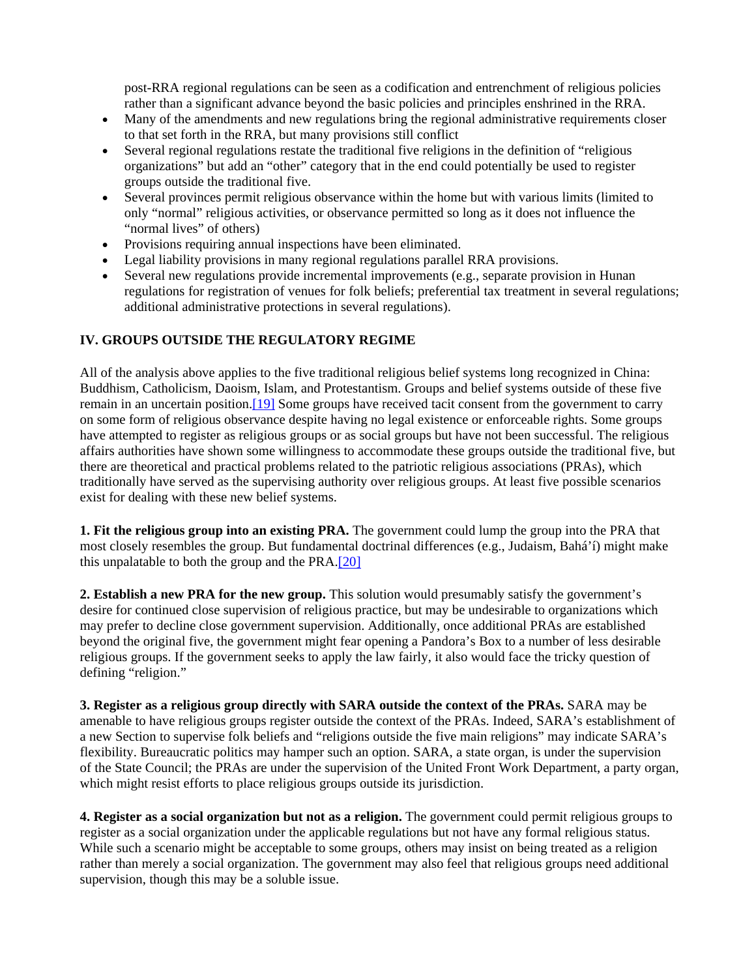post-RRA regional regulations can be seen as a codification and entrenchment of religious policies rather than a significant advance beyond the basic policies and principles enshrined in the RRA.

- Many of the amendments and new regulations bring the regional administrative requirements closer to that set forth in the RRA, but many provisions still conflict
- Several regional regulations restate the traditional five religions in the definition of "religious organizations" but add an "other" category that in the end could potentially be used to register groups outside the traditional five.
- Several provinces permit religious observance within the home but with various limits (limited to only "normal" religious activities, or observance permitted so long as it does not influence the "normal lives" of others)
- Provisions requiring annual inspections have been eliminated.
- Legal liability provisions in many regional regulations parallel RRA provisions.
- Several new regulations provide incremental improvements (e.g., separate provision in Hunan regulations for registration of venues for folk beliefs; preferential tax treatment in several regulations; additional administrative protections in several regulations).

# **IV. GROUPS OUTSIDE THE REGULATORY REGIME**

All of the analysis above applies to the five traditional religious belief systems long recognized in China: Buddhism, Catholicism, Daoism, Islam, and Protestantism. Groups and belief systems outside of these five remain in an uncertain position.[19] Some groups have received tacit consent from the government to carry on some form of religious observance despite having no legal existence or enforceable rights. Some groups have attempted to register as religious groups or as social groups but have not been successful. The religious affairs authorities have shown some willingness to accommodate these groups outside the traditional five, but there are theoretical and practical problems related to the patriotic religious associations (PRAs), which traditionally have served as the supervising authority over religious groups. At least five possible scenarios exist for dealing with these new belief systems.

**1. Fit the religious group into an existing PRA.** The government could lump the group into the PRA that most closely resembles the group. But fundamental doctrinal differences (e.g., Judaism, Bahá'í) might make this unpalatable to both the group and the PRA.[20]

**2. Establish a new PRA for the new group.** This solution would presumably satisfy the government's desire for continued close supervision of religious practice, but may be undesirable to organizations which may prefer to decline close government supervision. Additionally, once additional PRAs are established beyond the original five, the government might fear opening a Pandora's Box to a number of less desirable religious groups. If the government seeks to apply the law fairly, it also would face the tricky question of defining "religion."

**3. Register as a religious group directly with SARA outside the context of the PRAs.** SARA may be amenable to have religious groups register outside the context of the PRAs. Indeed, SARA's establishment of a new Section to supervise folk beliefs and "religions outside the five main religions" may indicate SARA's flexibility. Bureaucratic politics may hamper such an option. SARA, a state organ, is under the supervision of the State Council; the PRAs are under the supervision of the United Front Work Department, a party organ, which might resist efforts to place religious groups outside its jurisdiction.

**4. Register as a social organization but not as a religion.** The government could permit religious groups to register as a social organization under the applicable regulations but not have any formal religious status. While such a scenario might be acceptable to some groups, others may insist on being treated as a religion rather than merely a social organization. The government may also feel that religious groups need additional supervision, though this may be a soluble issue.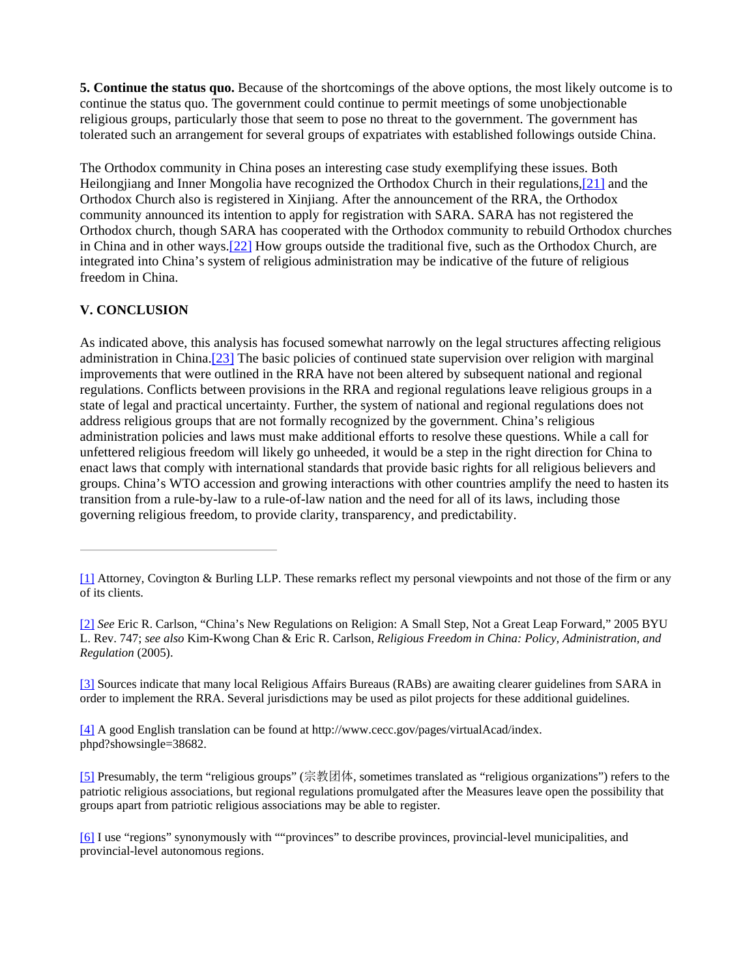**5. Continue the status quo.** Because of the shortcomings of the above options, the most likely outcome is to continue the status quo. The government could continue to permit meetings of some unobjectionable religious groups, particularly those that seem to pose no threat to the government. The government has tolerated such an arrangement for several groups of expatriates with established followings outside China.

The Orthodox community in China poses an interesting case study exemplifying these issues. Both Heilongjiang and Inner Mongolia have recognized the Orthodox Church in their regulations,<sup>[21]</sup> and the Orthodox Church also is registered in Xinjiang. After the announcement of the RRA, the Orthodox community announced its intention to apply for registration with SARA. SARA has not registered the Orthodox church, though SARA has cooperated with the Orthodox community to rebuild Orthodox churches in China and in other ways.[22] How groups outside the traditional five, such as the Orthodox Church, are integrated into China's system of religious administration may be indicative of the future of religious freedom in China.

# **V. CONCLUSION**

As indicated above, this analysis has focused somewhat narrowly on the legal structures affecting religious administration in China.[23] The basic policies of continued state supervision over religion with marginal improvements that were outlined in the RRA have not been altered by subsequent national and regional regulations. Conflicts between provisions in the RRA and regional regulations leave religious groups in a state of legal and practical uncertainty. Further, the system of national and regional regulations does not address religious groups that are not formally recognized by the government. China's religious administration policies and laws must make additional efforts to resolve these questions. While a call for unfettered religious freedom will likely go unheeded, it would be a step in the right direction for China to enact laws that comply with international standards that provide basic rights for all religious believers and groups. China's WTO accession and growing interactions with other countries amplify the need to hasten its transition from a rule-by-law to a rule-of-law nation and the need for all of its laws, including those governing religious freedom, to provide clarity, transparency, and predictability.

<sup>[1]</sup> Attorney, Covington & Burling LLP. These remarks reflect my personal viewpoints and not those of the firm or any of its clients.

<sup>[2]</sup> *See* Eric R. Carlson, "China's New Regulations on Religion: A Small Step, Not a Great Leap Forward," 2005 BYU L. Rev. 747; *see also* Kim-Kwong Chan & Eric R. Carlson, *Religious Freedom in China: Policy, Administration, and Regulation* (2005).

<sup>[3]</sup> Sources indicate that many local Religious Affairs Bureaus (RABs) are awaiting clearer guidelines from SARA in order to implement the RRA. Several jurisdictions may be used as pilot projects for these additional guidelines.

<sup>[4]</sup> A good English translation can be found at http://www.cecc.gov/pages/virtualAcad/index. phpd?showsingle=38682.

<sup>[5]</sup> Presumably, the term "religious groups" (宗教团体, sometimes translated as "religious organizations") refers to the patriotic religious associations, but regional regulations promulgated after the Measures leave open the possibility that groups apart from patriotic religious associations may be able to register.

<sup>[6]</sup> I use "regions" synonymously with ""provinces" to describe provinces, provincial-level municipalities, and provincial-level autonomous regions.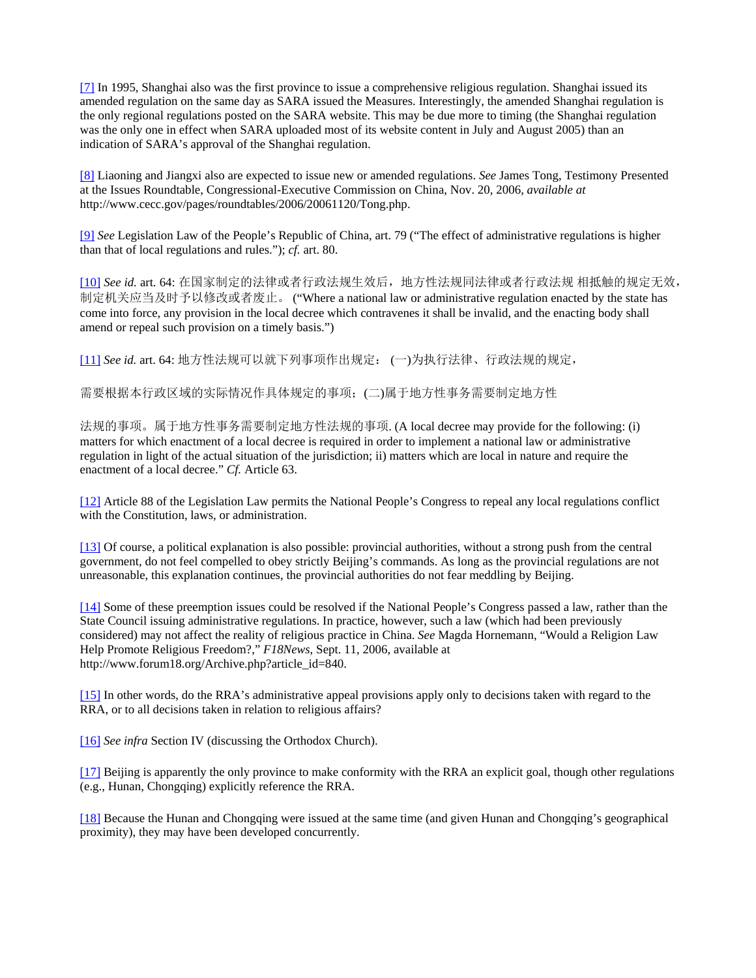[7] In 1995, Shanghai also was the first province to issue a comprehensive religious regulation. Shanghai issued its amended regulation on the same day as SARA issued the Measures. Interestingly, the amended Shanghai regulation is the only regional regulations posted on the SARA website. This may be due more to timing (the Shanghai regulation was the only one in effect when SARA uploaded most of its website content in July and August 2005) than an indication of SARA's approval of the Shanghai regulation.

[8] Liaoning and Jiangxi also are expected to issue new or amended regulations. *See* James Tong, Testimony Presented at the Issues Roundtable, Congressional-Executive Commission on China, Nov. 20, 2006, *available at* http://www.cecc.gov/pages/roundtables/2006/20061120/Tong.php.

[9] *See* Legislation Law of the People's Republic of China, art. 79 ("The effect of administrative regulations is higher than that of local regulations and rules."); *cf.* art. 80.

[10] *See id.* art. 64: 在国家制定的法律或者行政法规生效后,地方性法规同法律或者行政法规 相抵触的规定无效, 制定机关应当及时予以修改或者废止。 ("Where a national law or administrative regulation enacted by the state has come into force, any provision in the local decree which contravenes it shall be invalid, and the enacting body shall amend or repeal such provision on a timely basis.")

[11] *See id.* art. 64: 地方性法规可以就下列事项作出规定: (一)为执行法律、行政法规的规定,

需要根据本行政区域的实际情况作具体规定的事项;(二)属于地方性事务需要制定地方性

法规的事项。属于地方性事务需要制定地方性法规的事项. (A local decree may provide for the following: (i) matters for which enactment of a local decree is required in order to implement a national law or administrative regulation in light of the actual situation of the jurisdiction; ii) matters which are local in nature and require the enactment of a local decree." *Cf.* Article 63.

[12] Article 88 of the Legislation Law permits the National People's Congress to repeal any local regulations conflict with the Constitution, laws, or administration.

[13] Of course, a political explanation is also possible: provincial authorities, without a strong push from the central government, do not feel compelled to obey strictly Beijing's commands. As long as the provincial regulations are not unreasonable, this explanation continues, the provincial authorities do not fear meddling by Beijing.

[14] Some of these preemption issues could be resolved if the National People's Congress passed a law, rather than the State Council issuing administrative regulations. In practice, however, such a law (which had been previously considered) may not affect the reality of religious practice in China. *See* Magda Hornemann, "Would a Religion Law Help Promote Religious Freedom?," *F18News*, Sept. 11, 2006, available at http://www.forum18.org/Archive.php?article\_id=840.

[15] In other words, do the RRA's administrative appeal provisions apply only to decisions taken with regard to the RRA, or to all decisions taken in relation to religious affairs?

[16] *See infra* Section IV (discussing the Orthodox Church).

[17] Beijing is apparently the only province to make conformity with the RRA an explicit goal, though other regulations (e.g., Hunan, Chongqing) explicitly reference the RRA.

[18] Because the Hunan and Chongqing were issued at the same time (and given Hunan and Chongqing's geographical proximity), they may have been developed concurrently.